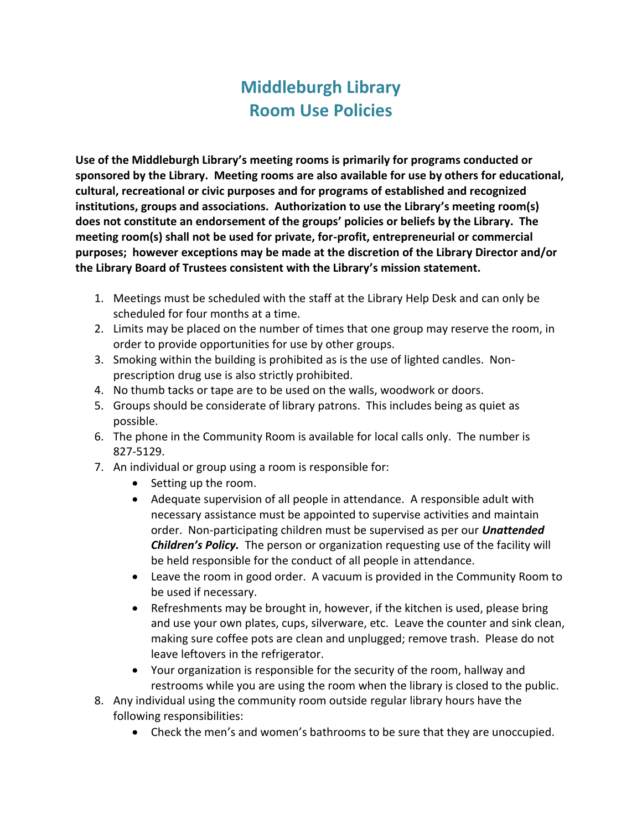## **Middleburgh Library Room Use Policies**

**Use of the Middleburgh Library's meeting rooms is primarily for programs conducted or sponsored by the Library. Meeting rooms are also available for use by others for educational, cultural, recreational or civic purposes and for programs of established and recognized institutions, groups and associations. Authorization to use the Library's meeting room(s) does not constitute an endorsement of the groups' policies or beliefs by the Library. The meeting room(s) shall not be used for private, for-profit, entrepreneurial or commercial purposes; however exceptions may be made at the discretion of the Library Director and/or the Library Board of Trustees consistent with the Library's mission statement.**

- 1. Meetings must be scheduled with the staff at the Library Help Desk and can only be scheduled for four months at a time.
- 2. Limits may be placed on the number of times that one group may reserve the room, in order to provide opportunities for use by other groups.
- 3. Smoking within the building is prohibited as is the use of lighted candles. Nonprescription drug use is also strictly prohibited.
- 4. No thumb tacks or tape are to be used on the walls, woodwork or doors.
- 5. Groups should be considerate of library patrons. This includes being as quiet as possible.
- 6. The phone in the Community Room is available for local calls only. The number is 827-5129.
- 7. An individual or group using a room is responsible for:
	- Setting up the room.
	- Adequate supervision of all people in attendance. A responsible adult with necessary assistance must be appointed to supervise activities and maintain order. Non-participating children must be supervised as per our *Unattended Children's Policy.* The person or organization requesting use of the facility will be held responsible for the conduct of all people in attendance.
	- Leave the room in good order. A vacuum is provided in the Community Room to be used if necessary.
	- Refreshments may be brought in, however, if the kitchen is used, please bring and use your own plates, cups, silverware, etc. Leave the counter and sink clean, making sure coffee pots are clean and unplugged; remove trash. Please do not leave leftovers in the refrigerator.
	- Your organization is responsible for the security of the room, hallway and restrooms while you are using the room when the library is closed to the public.
- 8. Any individual using the community room outside regular library hours have the following responsibilities:
	- Check the men's and women's bathrooms to be sure that they are unoccupied.